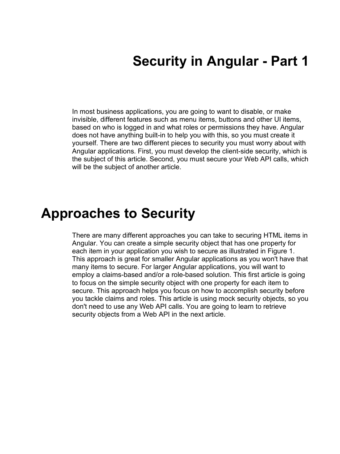## **Security in Angular - Part 1**

In most business applications, you are going to want to disable, or make invisible, different features such as menu items, buttons and other UI items, based on who is logged in and what roles or permissions they have. Angular does not have anything built-in to help you with this, so you must create it yourself. There are two different pieces to security you must worry about with Angular applications. First, you must develop the client-side security, which is the subject of this article. Second, you must secure your Web API calls, which will be the subject of another article.

### **Approaches to Security**

There are many different approaches you can take to securing HTML items in Angular. You can create a simple security object that has one property for each item in your application you wish to secure as illustrated in Figure 1. This approach is great for smaller Angular applications as you won't have that many items to secure. For larger Angular applications, you will want to employ a claims-based and/or a role-based solution. This first article is going to focus on the simple security object with one property for each item to secure. This approach helps you focus on how to accomplish security before you tackle claims and roles. This article is using mock security objects, so you don't need to use any Web API calls. You are going to learn to retrieve security objects from a Web API in the next article.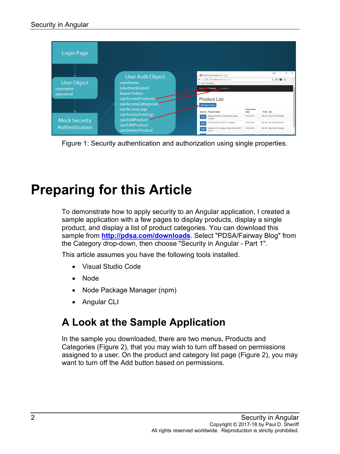| Login Page                                 |                                                                                                                   |                  |                                                                                                                                            |                               |                                |                               |  |
|--------------------------------------------|-------------------------------------------------------------------------------------------------------------------|------------------|--------------------------------------------------------------------------------------------------------------------------------------------|-------------------------------|--------------------------------|-------------------------------|--|
| <b>User Object</b><br>username<br>password | <b>User Auth Object</b><br>userName<br>isAuthenticated<br>bearerToken<br>canAccessProducts<br>canAccessCategories | Paul's Home Page | Paul's Training Company X<br>C + © localhost:4200/products<br>Home Products<br>Categories<br><b>Product List</b><br><b>Add New Product</b> |                               | $\Box$<br>$\times$<br>000<br>☆ |                               |  |
|                                            | canAccessLogs                                                                                                     |                  | <b>Actions</b> Product Name                                                                                                                | Introduction<br>Date          | Price URL                      |                               |  |
|                                            | canAccessSettings<br>canAddProduct                                                                                | Edit             | Building Business Components using<br>Angular                                                                                              | 01/23/2017                    |                                | \$20.00 http://bit.lv/2k5ogph |  |
| <b>Mock Security</b>                       | canEditProduct                                                                                                    |                  | The Journey from MVC to Angular                                                                                                            | 07/22/2016                    |                                | \$20.00 http://bit.lv/2a3wvnu |  |
| Authentication                             | canDeleteProduct                                                                                                  | Edit             | Build an HTML Helper Library for ASP.NET<br>MVC 5                                                                                          | 01/05/2016                    |                                | \$20.00 http://bit.lv/1myxbwj |  |
|                                            |                                                                                                                   |                  |                                                                                                                                            | <b><i><u>ABIAIAAA</u></i></b> | <b>COOCOO NILL</b>             |                               |  |

Figure 1: Security authentication and authorization using single properties.

# **Preparing for this Article**

To demonstrate how to apply security to an Angular application, I created a sample application with a few pages to display products, display a single product, and display a list of product categories. You can download this sample from **<http://pdsa.com/downloads>**. Select "PDSA/Fairway Blog" from the Category drop-down, then choose "Security in Angular - Part 1".

This article assumes you have the following tools installed.

- Visual Studio Code
- Node
- Node Package Manager (npm)
- Angular CLI

### **A Look at the Sample Application**

In the sample you downloaded, there are two menus, Products and Categories (Figure 2), that you may wish to turn off based on permissions assigned to a user. On the product and category list page (Figure 2), you may want to turn off the Add button based on permissions.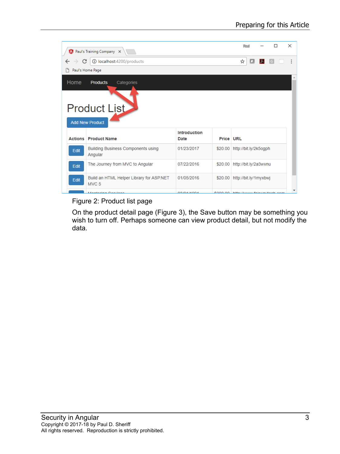|                                                              | A Paul's Training Company X                                  | П<br>Pavil   | ×                |                              |  |  |  |  |  |
|--------------------------------------------------------------|--------------------------------------------------------------|--------------|------------------|------------------------------|--|--|--|--|--|
| C                                                            | 1 localhost:4200/products                                    | о<br>☆<br>ण  |                  |                              |  |  |  |  |  |
| Γ٩                                                           | Paul's Home Page                                             |              |                  |                              |  |  |  |  |  |
| Home<br><b>Products</b><br>Categories<br><b>Product List</b> |                                                              |              |                  |                              |  |  |  |  |  |
|                                                              | <b>Add New Product</b>                                       | Introduction |                  |                              |  |  |  |  |  |
|                                                              | <b>Actions   Product Name</b>                                | Date         | <b>Price URL</b> |                              |  |  |  |  |  |
| Edit                                                         | <b>Building Business Components using</b><br>Angular         | 01/23/2017   | \$20.00          | http://bit.ly/2k5ogph        |  |  |  |  |  |
| Edit                                                         | The Journey from MVC to Angular                              | 07/22/2016   | \$20.00          | http://bit.ly/2a3wvnu        |  |  |  |  |  |
| Edit                                                         | Build an HTML Helper Library for ASP.NET<br>MVC <sub>5</sub> | 01/05/2016   | \$20.00          | http://bit.ly/1myxbwj        |  |  |  |  |  |
|                                                              | <i><b>Montoring Consigns</b></i>                             | 0.210414004  |                  | COOO OO http://www.fainuauta |  |  |  |  |  |

#### Figure 2: Product list page

On the product detail page (Figure 3), the Save button may be something you wish to turn off. Perhaps someone can view product detail, but not modify the data.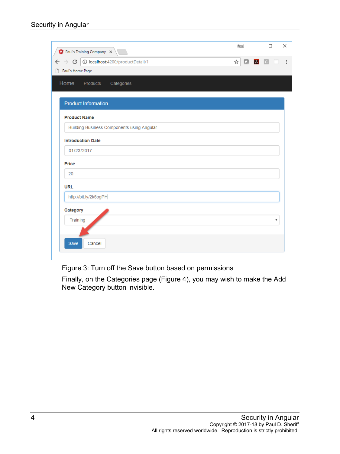| $\bigwedge$ Paul's Training Company $\bigtimes$                  |   | 陶训 |                                                                                 | $\Box$ | ×                       |  |  |  |  |
|------------------------------------------------------------------|---|----|---------------------------------------------------------------------------------|--------|-------------------------|--|--|--|--|
| 1/D localhost:4200/productDetail<br>$\leftarrow$ $\rightarrow$ C | ☆ |    | $\begin{array}{ c c c c c }\n\hline\n\bullet & \lambda & \text{G}\n\end{array}$ |        | ÷                       |  |  |  |  |
| Paul's Home Page<br>h                                            |   |    |                                                                                 |        |                         |  |  |  |  |
| Home<br>Products<br>Categories                                   |   |    |                                                                                 |        |                         |  |  |  |  |
|                                                                  |   |    |                                                                                 |        |                         |  |  |  |  |
| <b>Product Information</b>                                       |   |    |                                                                                 |        |                         |  |  |  |  |
| <b>Product Name</b>                                              |   |    |                                                                                 |        |                         |  |  |  |  |
| <b>Building Business Components using Angular</b>                |   |    |                                                                                 |        |                         |  |  |  |  |
| <b>Introduction Date</b>                                         |   |    |                                                                                 |        |                         |  |  |  |  |
| 01/23/2017                                                       |   |    |                                                                                 |        |                         |  |  |  |  |
| Price                                                            |   |    |                                                                                 |        |                         |  |  |  |  |
| 20                                                               |   |    |                                                                                 |        |                         |  |  |  |  |
| <b>URL</b>                                                       |   |    |                                                                                 |        |                         |  |  |  |  |
| http://bit.ly/2k5ogPH                                            |   |    |                                                                                 |        |                         |  |  |  |  |
| Category                                                         |   |    |                                                                                 |        |                         |  |  |  |  |
| Training                                                         |   |    |                                                                                 |        | $\overline{\mathbf{v}}$ |  |  |  |  |
|                                                                  |   |    |                                                                                 |        |                         |  |  |  |  |
| <b>Save</b><br>Cancel                                            |   |    |                                                                                 |        |                         |  |  |  |  |
|                                                                  |   |    |                                                                                 |        |                         |  |  |  |  |

Figure 3: Turn off the Save button based on permissions

Finally, on the Categories page (Figure 4), you may wish to make the Add New Category button invisible.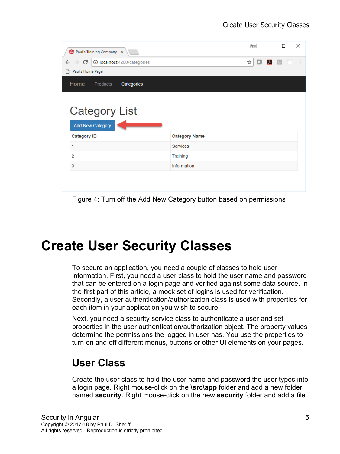| A Paul's Training Company X     |                         |                             |  |                      | <b>Rawl</b> |   | □ |                                                                                    | X |             |            |
|---------------------------------|-------------------------|-----------------------------|--|----------------------|-------------|---|---|------------------------------------------------------------------------------------|---|-------------|------------|
| $\rightarrow$ C<br>$\leftarrow$ |                         | 1 localhost:4200/categories |  |                      |             | ☆ |   | $\begin{array}{c c c c c} \hline \textbf{A} & \textbf{B} & \textbf{B} \end{array}$ |   | <b>COLL</b> | $\ddot{ }$ |
| Paul's Home Page<br>I٦          |                         |                             |  |                      |             |   |   |                                                                                    |   |             |            |
| Home                            | <b>Products</b>         | Categories                  |  |                      |             |   |   |                                                                                    |   |             |            |
|                                 |                         |                             |  |                      |             |   |   |                                                                                    |   |             |            |
|                                 |                         |                             |  |                      |             |   |   |                                                                                    |   |             |            |
|                                 | <b>Category List</b>    |                             |  |                      |             |   |   |                                                                                    |   |             |            |
|                                 | <b>Add New Category</b> |                             |  |                      |             |   |   |                                                                                    |   |             |            |
| <b>Category ID</b>              |                         |                             |  | <b>Category Name</b> |             |   |   |                                                                                    |   |             |            |
| 1                               |                         |                             |  | <b>Services</b>      |             |   |   |                                                                                    |   |             |            |
| 2                               |                         |                             |  | Training             |             |   |   |                                                                                    |   |             |            |
| 3                               |                         |                             |  | Information          |             |   |   |                                                                                    |   |             |            |
|                                 |                         |                             |  |                      |             |   |   |                                                                                    |   |             |            |
|                                 |                         |                             |  |                      |             |   |   |                                                                                    |   |             |            |

Figure 4: Turn off the Add New Category button based on permissions

## **Create User Security Classes**

To secure an application, you need a couple of classes to hold user information. First, you need a user class to hold the user name and password that can be entered on a login page and verified against some data source. In the first part of this article, a mock set of logins is used for verification. Secondly, a user authentication/authorization class is used with properties for each item in your application you wish to secure.

Next, you need a security service class to authenticate a user and set properties in the user authentication/authorization object. The property values determine the permissions the logged in user has. You use the properties to turn on and off different menus, buttons or other UI elements on your pages.

#### **User Class**

Create the user class to hold the user name and password the user types into a login page. Right mouse-click on the **\src\app** folder and add a new folder named **security**. Right mouse-click on the new **security** folder and add a file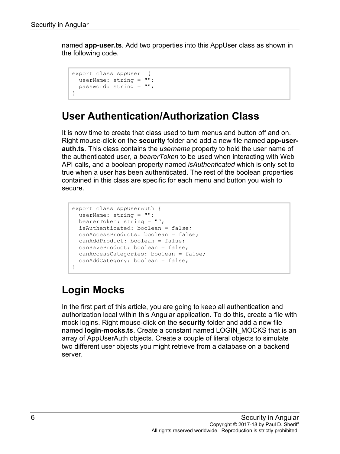named **app-user.ts**. Add two properties into this AppUser class as shown in the following code.

```
export class AppUser {
  userName: string = "";
  password: string = "";
}
```
#### **User Authentication/Authorization Class**

It is now time to create that class used to turn menus and button off and on. Right mouse-click on the **security** folder and add a new file named **app-userauth.ts**. This class contains the *username* property to hold the user name of the authenticated user, a *bearerToken* to be used when interacting with Web API calls, and a boolean property named *isAuthenticated* which is only set to true when a user has been authenticated. The rest of the boolean properties contained in this class are specific for each menu and button you wish to secure.

```
export class AppUserAuth {
  userName: string = "";
  bearerToken: string = "";
  isAuthenticated: boolean = false;
 canAccessProducts: boolean = false;
  canAddProduct: boolean = false;
  canSaveProduct: boolean = false;
  canAccessCategories: boolean = false;
  canAddCategory: boolean = false;
}
```
### **Login Mocks**

In the first part of this article, you are going to keep all authentication and authorization local within this Angular application. To do this, create a file with mock logins. Right mouse-click on the **security** folder and add a new file named **login-mocks.ts**. Create a constant named LOGIN\_MOCKS that is an array of AppUserAuth objects. Create a couple of literal objects to simulate two different user objects you might retrieve from a database on a backend server.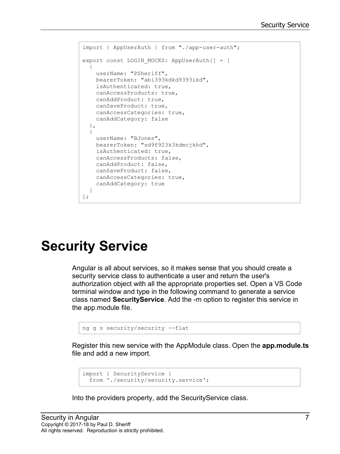```
import { AppUserAuth } from "./app-user-auth";
export const LOGIN MOCKS: AppUserAuth[] = [
  {
    userName: "PSheriff",
    bearerToken: "abi393kdkd9393ikd",
    isAuthenticated: true,
    canAccessProducts: true,
    canAddProduct: true,
    canSaveProduct: true,
    canAccessCategories: true,
    canAddCategory: false
  },
   {
    userName: "BJones",
    bearerToken: "sd9f923k3kdmcjkhd",
    isAuthenticated: true,
    canAccessProducts: false,
    canAddProduct: false,
    canSaveProduct: false,
    canAccessCategories: true,
    canAddCategory: true
  }
];
```
## **Security Service**

Angular is all about services, so it makes sense that you should create a security service class to authenticate a user and return the user's authorization object with all the appropriate properties set. Open a VS Code terminal window and type in the following command to generate a service class named **SecurityService**. Add the -m option to register this service in the app.module file.

```
ng g s security/security --flat
```
Register this new service with the AppModule class. Open the **app.module.ts** file and add a new import.

```
import { SecurityService }
 from './security/security.service';
```
Into the providers property, add the SecurityService class.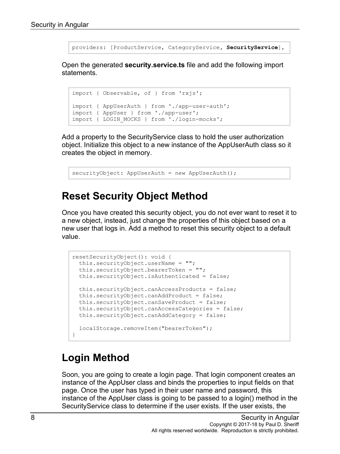providers: [ProductService, CategoryService**, SecurityService**],

Open the generated **security.service.ts** file and add the following import statements.

```
import { Observable, of } from 'rxjs';
import { AppUserAuth } from './app-user-auth';
import { AppUser } from './app-user';
import { LOGIN_MOCKS } from './login-mocks';
```
Add a property to the SecurityService class to hold the user authorization object. Initialize this object to a new instance of the AppUserAuth class so it creates the object in memory.

securityObject: AppUserAuth = new AppUserAuth();

#### **Reset Security Object Method**

Once you have created this security object, you do not ever want to reset it to a new object, instead, just change the properties of this object based on a new user that logs in. Add a method to reset this security object to a default value.

```
resetSecurityObject(): void {
  this.securityObject.userName = "";
  this.securityObject.bearerToken = "";
  this.securityObject.isAuthenticated = false;
  this.securityObject.canAccessProducts = false;
  this.securityObject.canAddProduct = false;
  this.securityObject.canSaveProduct = false;
  this.securityObject.canAccessCategories = false;
  this.securityObject.canAddCategory = false;
  localStorage.removeItem("bearerToken");
}
```
#### **Login Method**

Soon, you are going to create a login page. That login component creates an instance of the AppUser class and binds the properties to input fields on that page. Once the user has typed in their user name and password, this instance of the AppUser class is going to be passed to a login() method in the SecurityService class to determine if the user exists. If the user exists, the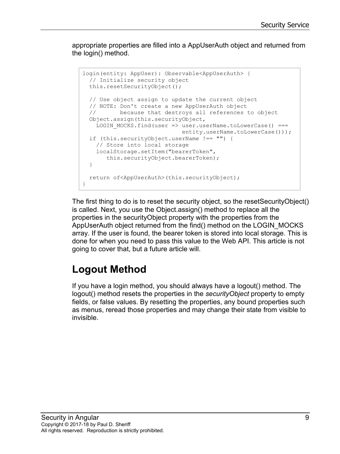appropriate properties are filled into a AppUserAuth object and returned from the login() method.

```
login(entity: AppUser): Observable<AppUserAuth> {
  // Initialize security object
  this.resetSecurityObject();
   // Use object assign to update the current object
  // NOTE: Don't create a new AppUserAuth object
         because that destroys all references to object
  Object.assign(this.securityObject,
   LOGIN MOCKS.find(user => user.userName.toLowerCase() ===
                             entity.userName.toLowerCase()));
  if (this.securityObject.userName !== "") {
    // Store into local storage
    localStorage.setItem("bearerToken",
        this.securityObject.bearerToken);
   }
  return of<AppUserAuth>(this.securityObject);
}
```
The first thing to do is to reset the security object, so the resetSecurityObject() is called. Next, you use the Object.assign() method to replace all the properties in the securityObject property with the properties from the AppUserAuth object returned from the find() method on the LOGIN\_MOCKS array. If the user is found, the bearer token is stored into local storage. This is done for when you need to pass this value to the Web API. This article is not going to cover that, but a future article will.

### **Logout Method**

If you have a login method, you should always have a logout() method. The logout() method resets the properties in the *securityObject* property to empty fields, or false values. By resetting the properties, any bound properties such as menus, reread those properties and may change their state from visible to invisible.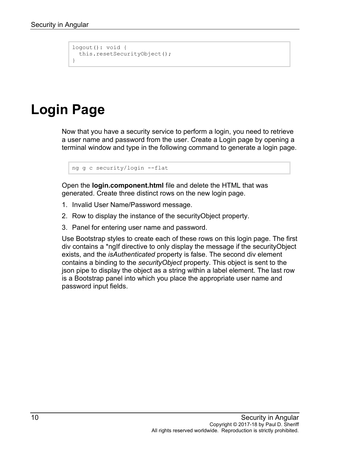```
logout(): void {
  this.resetSecurityObject();
}
```
## **Login Page**

Now that you have a security service to perform a login, you need to retrieve a user name and password from the user. Create a Login page by opening a terminal window and type in the following command to generate a login page.

```
ng g c security/login --flat
```
Open the **login.component.html** file and delete the HTML that was generated. Create three distinct rows on the new login page.

- 1. Invalid User Name/Password message.
- 2. Row to display the instance of the securityObject property.
- 3. Panel for entering user name and password.

Use Bootstrap styles to create each of these rows on this login page. The first div contains a \*ngIf directive to only display the message if the securityObject exists, and the *isAuthenticated* property is false. The second div element contains a binding to the *securityObject* property. This object is sent to the json pipe to display the object as a string within a label element. The last row is a Bootstrap panel into which you place the appropriate user name and password input fields.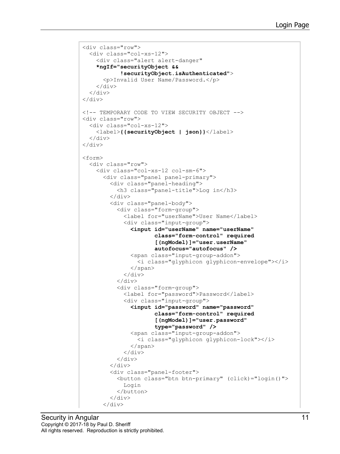```
<div class="row">
   <div class="col-xs-12">
     <div class="alert alert-danger" 
     *ngIf="securityObject &&
             !securityObject.isAuthenticated">
       <p>Invalid User Name/Password.</p>
    \langle/div\rangle\langle/div\rangle\langle div>
<!-- TEMPORARY CODE TO VIEW SECURITY OBJECT -->
<div class="row">
   <div class="col-xs-12">
     <label>{{securityObject | json}}</label>
  \langlediv>\langlediv\rangle<form>
   <div class="row">
     <div class="col-xs-12 col-sm-6">
       <div class="panel panel-primary">
         <div class="panel-heading">
            <h3 class="panel-title">Log in</h3>
          </div>
         <div class="panel-body">
            <div class="form-group">
              <label for="userName">User Name</label>
              <div class="input-group">
                <input id="userName" name="userName" 
                        class="form-control" required
                        [(ngModel)]="user.userName"
                       autofocus="autofocus" />
                <span class="input-group-addon">
                  <i class="glyphicon glyphicon-envelope"></i>
                </span>
             \langle div>
           \langle div>
            <div class="form-group">
              <label for="password">Password</label>
              <div class="input-group">
                <input id="password" name="password" 
                        class="form-control" required 
                       [(ngModel)]="user.password"
                        type="password" />
                <span class="input-group-addon">
                  <i class="glyphicon glyphicon-lock"></i>
                </span>
              </div>
            </div>
         </div>
          <div class="panel-footer">
            <button class="btn btn-primary" (click)="login()">
              Login
            </button>
        \langle div>
      \langle div>
```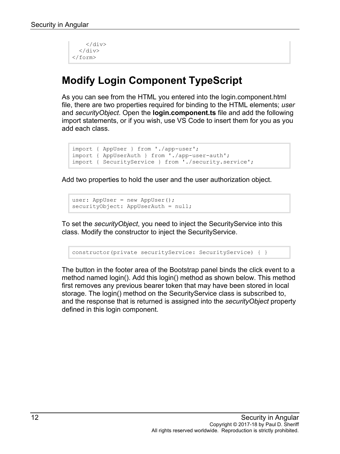```
\langle/div\rangle\langle/div\rangle</form>
```
### **Modify Login Component TypeScript**

As you can see from the HTML you entered into the login.component.html file, there are two properties required for binding to the HTML elements; *user* and *securityObject*. Open the **login.component.ts** file and add the following import statements, or if you wish, use VS Code to insert them for you as you add each class.

```
import { AppUser } from './app-user';
import { AppUserAuth } from './app-user-auth';
import { SecurityService } from './security.service';
```
Add two properties to hold the user and the user authorization object.

```
user: AppUser = new AppUser();
securityObject: AppUserAuth = null;
```
To set the *securityObject*, you need to inject the SecurityService into this class. Modify the constructor to inject the SecurityService.

constructor(private securityService: SecurityService) { }

The button in the footer area of the Bootstrap panel binds the click event to a method named login(). Add this login() method as shown below. This method first removes any previous bearer token that may have been stored in local storage. The login() method on the SecurityService class is subscribed to, and the response that is returned is assigned into the *securityObject* property defined in this login component.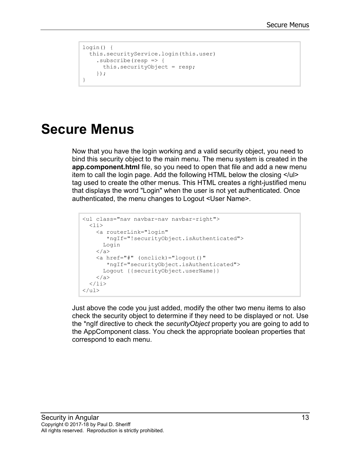```
login() {
  this.securityService.login(this.user)
     .subscribe(resp => {
       this.securityObject = resp;
     });
}
```
### **Secure Menus**

Now that you have the login working and a valid security object, you need to bind this security object to the main menu. The menu system is created in the **app.component.html** file, so you need to open that file and add a new menu item to call the login page. Add the following HTML below the closing </ul> tag used to create the other menus. This HTML creates a right-justified menu that displays the word "Login" when the user is not yet authenticated. Once authenticated, the menu changes to Logout <User Name>.

```
<ul class="nav navbar-nav navbar-right">
   <li>
     <a routerLink="login" 
        *ngIf="!securityObject.isAuthenticated">
       Login
    \langlea>
     <a href="#" (onclick)="logout()"
        *ngIf="securityObject.isAuthenticated">
       Logout {{securityObject.userName}}
     </a>
  \langle/li>\langle/ul>
```
Just above the code you just added, modify the other two menu items to also check the security object to determine if they need to be displayed or not. Use the \*ngIf directive to check the *securityObject* property you are going to add to the AppComponent class. You check the appropriate boolean properties that correspond to each menu.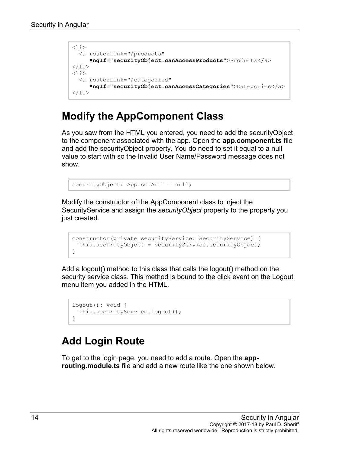```
<li>
   <a routerLink="/products"
      *ngIf="securityObject.canAccessProducts">Products</a>
\langle/li>
<li>
   <a routerLink="/categories"
      *ngIf="securityObject.canAccessCategories">Categories</a>
\langle/li>
```
#### **Modify the AppComponent Class**

As you saw from the HTML you entered, you need to add the securityObject to the component associated with the app. Open the **app.component.ts** file and add the securityObject property. You do need to set it equal to a null value to start with so the Invalid User Name/Password message does not show.

```
securityObject: AppUserAuth = null;
```
Modify the constructor of the AppComponent class to inject the SecurityService and assign the *securityObject* property to the property you just created.

```
constructor(private securityService: SecurityService) {
  this.securityObject = securityService.securityObject;
}
```
Add a logout() method to this class that calls the logout() method on the security service class. This method is bound to the click event on the Logout menu item you added in the HTML.

```
logout(): void { 
   this.securityService.logout();
}
```
### **Add Login Route**

To get to the login page, you need to add a route. Open the **approuting.module.ts** file and add a new route like the one shown below.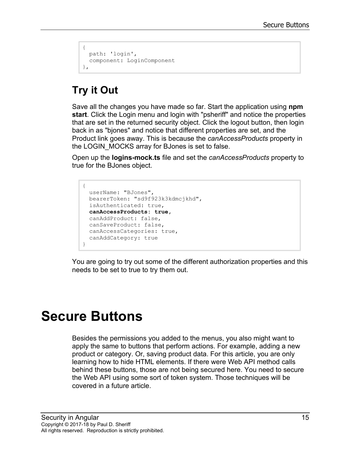```
{
  path: 'login', 
   component: LoginComponent
},
```
### **Try it Out**

Save all the changes you have made so far. Start the application using **npm start**. Click the Login menu and login with "psheriff" and notice the properties that are set in the returned security object. Click the logout button, then login back in as "bjones" and notice that different properties are set, and the Product link goes away. This is because the *canAccessProducts* property in the LOGIN\_MOCKS array for BJones is set to false.

Open up the **logins-mock.ts** file and set the *canAccessProducts* property to true for the BJones object.

```
{
   userName: "BJones",
  bearerToken: "sd9f923k3kdmcjkhd",
   isAuthenticated: true,
   canAccessProducts: true,
  canAddProduct: false,
  canSaveProduct: false,
  canAccessCategories: true,
   canAddCategory: true
}
```
You are going to try out some of the different authorization properties and this needs to be set to true to try them out.

## **Secure Buttons**

Besides the permissions you added to the menus, you also might want to apply the same to buttons that perform actions. For example, adding a new product or category. Or, saving product data. For this article, you are only learning how to hide HTML elements. If there were Web API method calls behind these buttons, those are not being secured here. You need to secure the Web API using some sort of token system. Those techniques will be covered in a future article.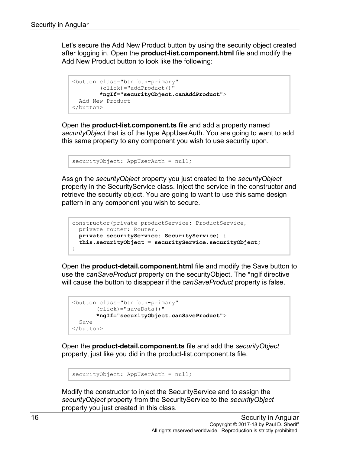Let's secure the Add New Product button by using the security object created after logging in. Open the **product-list.component.html** file and modify the Add New Product button to look like the following:

```
<button class="btn btn-primary"
         (click)="addProduct()"
         *ngIf="securityObject.canAddProduct">
  Add New Product
</button>
```
Open the **product-list.component.ts** file and add a property named *securityObject* that is of the type AppUserAuth. You are going to want to add this same property to any component you wish to use security upon.

```
securityObject: AppUserAuth = null;
```
Assign the *securityObject* property you just created to the *securityObject* property in the SecurityService class. Inject the service in the constructor and retrieve the security object. You are going to want to use this same design pattern in any component you wish to secure.

```
constructor(private productService: ProductService,
 private router: Router,
  private securityService: SecurityService) {
  this.securityObject = securityService.securityObject;
}
```
Open the **product-detail.component.html** file and modify the Save button to use the *canSaveProduct* property on the securityObject. The \*ngIf directive will cause the button to disappear if the *canSaveProduct* property is false.

```
<button class="btn btn-primary"
       (click)="saveData()"
        *ngIf="securityObject.canSaveProduct">
  Save
</button>
```
Open the **product-detail.component.ts** file and add the *securityObject* property, just like you did in the product-list.component.ts file.

```
securityObject: AppUserAuth = null;
```
Modify the constructor to inject the SecurityService and to assign the *securityObject* property from the SecurityService to the *securityObject* property you just created in this class.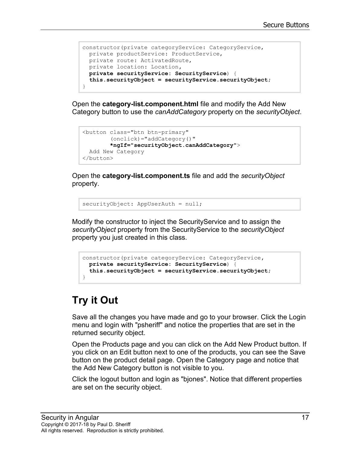```
constructor(private categoryService: CategoryService,
  private productService: ProductService,
  private route: ActivatedRoute,
  private location: Location,
  private securityService: SecurityService) {
  this.securityObject = securityService.securityObject;
}
```
Open the **category-list.component.html** file and modify the Add New Category button to use the *canAddCategory* property on the *securityObject*.

```
<button class="btn btn-primary"
        (onclick)="addCategory()"
        *ngIf="securityObject.canAddCategory">
  Add New Category
</button>
```
Open the **category-list.component.ts** file and add the *securityObject* property.

securityObject: AppUserAuth = null;

Modify the constructor to inject the SecurityService and to assign the *securityObject* property from the SecurityService to the *securityObject* property you just created in this class.

```
constructor(private categoryService: CategoryService,
  private securityService: SecurityService) {
  this.securityObject = securityService.securityObject;
}
```
### **Try it Out**

Save all the changes you have made and go to your browser. Click the Login menu and login with "psheriff" and notice the properties that are set in the returned security object.

Open the Products page and you can click on the Add New Product button. If you click on an Edit button next to one of the products, you can see the Save button on the product detail page. Open the Category page and notice that the Add New Category button is not visible to you.

Click the logout button and login as "bjones". Notice that different properties are set on the security object.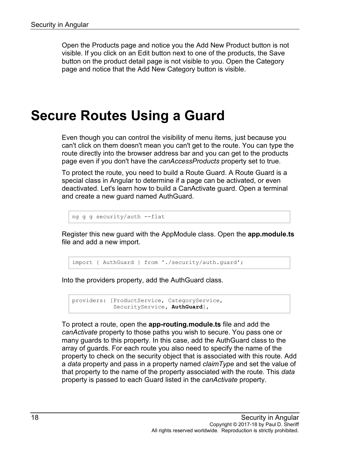Open the Products page and notice you the Add New Product button is not visible. If you click on an Edit button next to one of the products, the Save button on the product detail page is not visible to you. Open the Category page and notice that the Add New Category button is visible.

### **Secure Routes Using a Guard**

Even though you can control the visibility of menu items, just because you can't click on them doesn't mean you can't get to the route. You can type the route directly into the browser address bar and you can get to the products page even if you don't have the *canAccessProducts* property set to true.

To protect the route, you need to build a Route Guard. A Route Guard is a special class in Angular to determine if a page can be activated, or even deactivated. Let's learn how to build a CanActivate guard. Open a terminal and create a new guard named AuthGuard.

```
ng g g security/auth --flat
```
Register this new guard with the AppModule class. Open the **app.module.ts** file and add a new import.

import { AuthGuard } from './security/auth.guard';

Into the providers property, add the AuthGuard class.

```
providers: [ProductService, CategoryService,
             SecurityService, AuthGuard],
```
To protect a route, open the **app-routing.module.ts** file and add the *canActivate* property to those paths you wish to secure. You pass one or many guards to this property. In this case, add the AuthGuard class to the array of guards. For each route you also need to specify the name of the property to check on the security object that is associated with this route. Add a *data* property and pass in a property named *claimType* and set the value of that property to the name of the property associated with the route. This *data* property is passed to each Guard listed in the *canActivate* property.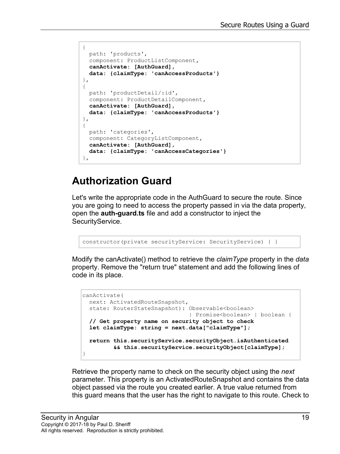```
{ 
  path: 'products', 
   component: ProductListComponent,
   canActivate: [AuthGuard],
   data: {claimType: 'canAccessProducts'}
},
{ 
   path: 'productDetail/:id',
   component: ProductDetailComponent,
   canActivate: [AuthGuard],
   data: {claimType: 'canAccessProducts'}
},
{
   path: 'categories',
   component: CategoryListComponent,
   canActivate: [AuthGuard],
   data: {claimType: 'canAccessCategories'}
},
```
### **Authorization Guard**

Let's write the appropriate code in the AuthGuard to secure the route. Since you are going to need to access the property passed in via the data property, open the **auth-guard.ts** file and add a constructor to inject the SecurityService.

```
constructor(private securityService: SecurityService) { }
```
Modify the canActivate() method to retrieve the *claimType* property in the *data* property. Remove the "return true" statement and add the following lines of code in its place.

```
canActivate(
  next: ActivatedRouteSnapshot,
 state: RouterStateSnapshot): Observable<br/>boolean>
                                 | Promise<boolean> | boolean {
  // Get property name on security object to check
  let claimType: string = next.data["claimType"];
  return this.securityService.securityObject.isAuthenticated
          && this.securityService.securityObject[claimType];
}
```
Retrieve the property name to check on the security object using the *next* parameter. This property is an ActivatedRouteSnapshot and contains the data object passed via the route you created earlier. A true value returned from this guard means that the user has the right to navigate to this route. Check to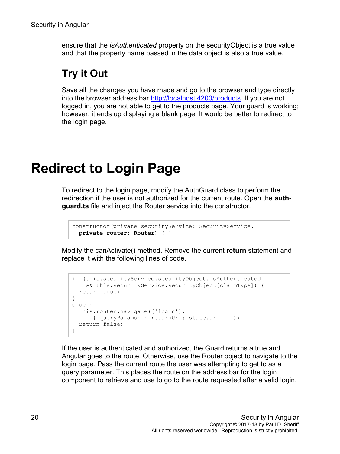ensure that the *isAuthenticated* property on the securityObject is a true value and that the property name passed in the data object is also a true value.

### **Try it Out**

Save all the changes you have made and go to the browser and type directly into the browser address bar [http://localhost:4200/products.](http://localhost:4200/products) If you are not logged in, you are not able to get to the products page. Your guard is working; however, it ends up displaying a blank page. It would be better to redirect to the login page.

## **Redirect to Login Page**

To redirect to the login page, modify the AuthGuard class to perform the redirection if the user is not authorized for the current route. Open the **authguard.ts** file and inject the Router service into the constructor.

```
constructor(private securityService: SecurityService,
  private router: Router) { }
```
Modify the canActivate() method. Remove the current **return** statement and replace it with the following lines of code.

```
if (this.securityService.securityObject.isAuthenticated 
     && this.securityService.securityObject[claimType]) {
  return true;
}
else {
  this.router.navigate(['login'], 
     { queryParams: { returnUrl: state.url } });
  return false;
}
```
If the user is authenticated and authorized, the Guard returns a true and Angular goes to the route. Otherwise, use the Router object to navigate to the login page. Pass the current route the user was attempting to get to as a query parameter. This places the route on the address bar for the login component to retrieve and use to go to the route requested after a valid login.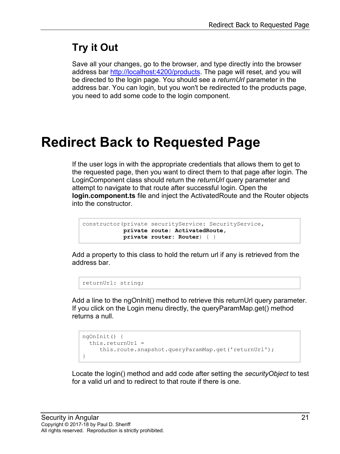### **Try it Out**

Save all your changes, go to the browser, and type directly into the browser address bar [http://localhost:4200/products.](http://localhost:4200/products) The page will reset, and you will be directed to the login page. You should see a *returnUrl* parameter in the address bar. You can login, but you won't be redirected to the products page, you need to add some code to the login component.

## **Redirect Back to Requested Page**

If the user logs in with the appropriate credentials that allows them to get to the requested page, then you want to direct them to that page after login. The LoginComponent class should return the *returnUrl* query parameter and attempt to navigate to that route after successful login. Open the **login.component.ts** file and inject the ActivatedRoute and the Router objects into the constructor.

```
constructor(private securityService: SecurityService,
            private route: ActivatedRoute,
             private router: Router) { }
```
Add a property to this class to hold the return url if any is retrieved from the address bar.

```
returnUrl: string;
```
Add a line to the ngOnInit() method to retrieve this returnUrl query parameter. If you click on the Login menu directly, the queryParamMap.get() method returns a null.

```
ngOnInit() {
   this.returnUrl = 
      this.route.snapshot.queryParamMap.get('returnUrl');
}
```
Locate the login() method and add code after setting the *securityObject* to test for a valid url and to redirect to that route if there is one.